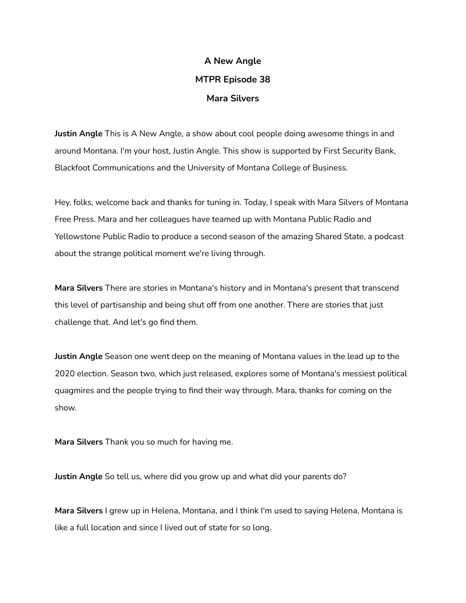## **A New Angle MTPR Episode 38 Mara Silvers**

**Justin Angle** This is A New Angle, a show about cool people doing awesome things in and around Montana. I'm your host, Justin Angle. This show is supported by First Security Bank, Blackfoot Communications and the University of Montana College of Business.

Hey, folks, welcome back and thanks for tuning in. Today, I speak with Mara Silvers of Montana Free Press. Mara and her colleagues have teamed up with Montana Public Radio and Yellowstone Public Radio to produce a second season of the amazing Shared State, a podcast about the strange political moment we're living through.

**Mara Silvers** There are stories in Montana's history and in Montana's present that transcend this level of partisanship and being shut off from one another. There are stories that just challenge that. And let's go find them.

**Justin Angle** Season one went deep on the meaning of Montana values in the lead up to the 2020 election. Season two, which just released, explores some of Montana's messiest political quagmires and the people trying to find their way through. Mara, thanks for coming on the show.

**Mara Silvers** Thank you so much for having me.

**Justin Angle** So tell us, where did you grow up and what did your parents do?

**Mara Silvers** I grew up in Helena, Montana, and I think I'm used to saying Helena, Montana is like a full location and since I lived out of state for so long.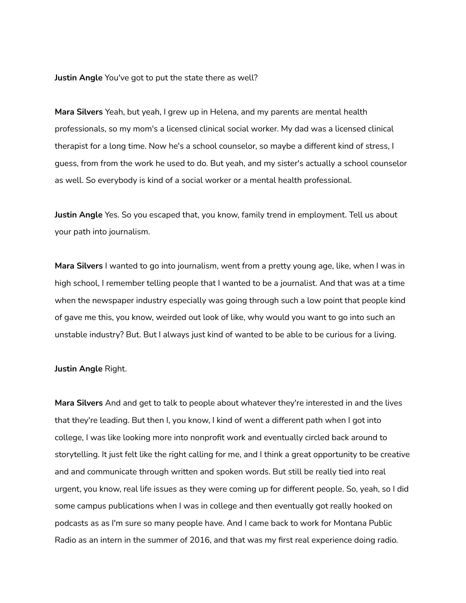**Justin Angle** You've got to put the state there as well?

**Mara Silvers** Yeah, but yeah, I grew up in Helena, and my parents are mental health professionals, so my mom's a licensed clinical social worker. My dad was a licensed clinical therapist for a long time. Now he's a school counselor, so maybe a different kind of stress, I guess, from from the work he used to do. But yeah, and my sister's actually a school counselor as well. So everybody is kind of a social worker or a mental health professional.

**Justin Angle** Yes. So you escaped that, you know, family trend in employment. Tell us about your path into journalism.

**Mara Silvers** I wanted to go into journalism, went from a pretty young age, like, when I was in high school, I remember telling people that I wanted to be a journalist. And that was at a time when the newspaper industry especially was going through such a low point that people kind of gave me this, you know, weirded out look of like, why would you want to go into such an unstable industry? But. But I always just kind of wanted to be able to be curious for a living.

## **Justin Angle** Right.

**Mara Silvers** And and get to talk to people about whatever they're interested in and the lives that they're leading. But then I, you know, I kind of went a different path when I got into college, I was like looking more into nonprofit work and eventually circled back around to storytelling. It just felt like the right calling for me, and I think a great opportunity to be creative and and communicate through written and spoken words. But still be really tied into real urgent, you know, real life issues as they were coming up for different people. So, yeah, so I did some campus publications when I was in college and then eventually got really hooked on podcasts as as I'm sure so many people have. And I came back to work for Montana Public Radio as an intern in the summer of 2016, and that was my first real experience doing radio.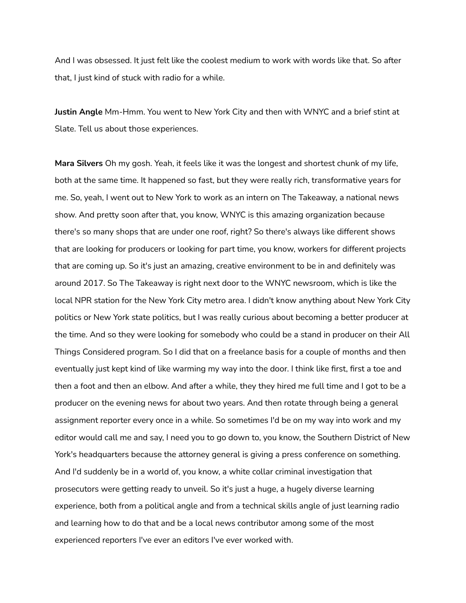And I was obsessed. It just felt like the coolest medium to work with words like that. So after that, I just kind of stuck with radio for a while.

**Justin Angle** Mm-Hmm. You went to New York City and then with WNYC and a brief stint at Slate. Tell us about those experiences.

**Mara Silvers** Oh my gosh. Yeah, it feels like it was the longest and shortest chunk of my life, both at the same time. It happened so fast, but they were really rich, transformative years for me. So, yeah, I went out to New York to work as an intern on The Takeaway, a national news show. And pretty soon after that, you know, WNYC is this amazing organization because there's so many shops that are under one roof, right? So there's always like different shows that are looking for producers or looking for part time, you know, workers for different projects that are coming up. So it's just an amazing, creative environment to be in and definitely was around 2017. So The Takeaway is right next door to the WNYC newsroom, which is like the local NPR station for the New York City metro area. I didn't know anything about New York City politics or New York state politics, but I was really curious about becoming a better producer at the time. And so they were looking for somebody who could be a stand in producer on their All Things Considered program. So I did that on a freelance basis for a couple of months and then eventually just kept kind of like warming my way into the door. I think like first, first a toe and then a foot and then an elbow. And after a while, they they hired me full time and I got to be a producer on the evening news for about two years. And then rotate through being a general assignment reporter every once in a while. So sometimes I'd be on my way into work and my editor would call me and say, I need you to go down to, you know, the Southern District of New York's headquarters because the attorney general is giving a press conference on something. And I'd suddenly be in a world of, you know, a white collar criminal investigation that prosecutors were getting ready to unveil. So it's just a huge, a hugely diverse learning experience, both from a political angle and from a technical skills angle of just learning radio and learning how to do that and be a local news contributor among some of the most experienced reporters I've ever an editors I've ever worked with.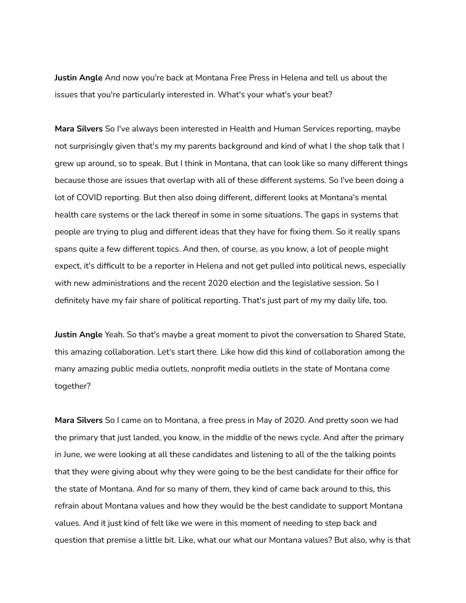**Justin Angle** And now you're back at Montana Free Press in Helena and tell us about the issues that you're particularly interested in. What's your what's your beat?

**Mara Silvers** So I've always been interested in Health and Human Services reporting, maybe not surprisingly given that's my my parents background and kind of what I the shop talk that I grew up around, so to speak. But I think in Montana, that can look like so many different things because those are issues that overlap with all of these different systems. So I've been doing a lot of COVID reporting. But then also doing different, different looks at Montana's mental health care systems or the lack thereof in some in some situations. The gaps in systems that people are trying to plug and different ideas that they have for fixing them. So it really spans spans quite a few different topics. And then, of course, as you know, a lot of people might expect, it's difficult to be a reporter in Helena and not get pulled into political news, especially with new administrations and the recent 2020 election and the legislative session. So I definitely have my fair share of political reporting. That's just part of my my daily life, too.

**Justin Angle** Yeah. So that's maybe a great moment to pivot the conversation to Shared State, this amazing collaboration. Let's start there. Like how did this kind of collaboration among the many amazing public media outlets, nonprofit media outlets in the state of Montana come together?

**Mara Silvers** So I came on to Montana, a free press in May of 2020. And pretty soon we had the primary that just landed, you know, in the middle of the news cycle. And after the primary in June, we were looking at all these candidates and listening to all of the the talking points that they were giving about why they were going to be the best candidate for their office for the state of Montana. And for so many of them, they kind of came back around to this, this refrain about Montana values and how they would be the best candidate to support Montana values. And it just kind of felt like we were in this moment of needing to step back and question that premise a little bit. Like, what our what our Montana values? But also, why is that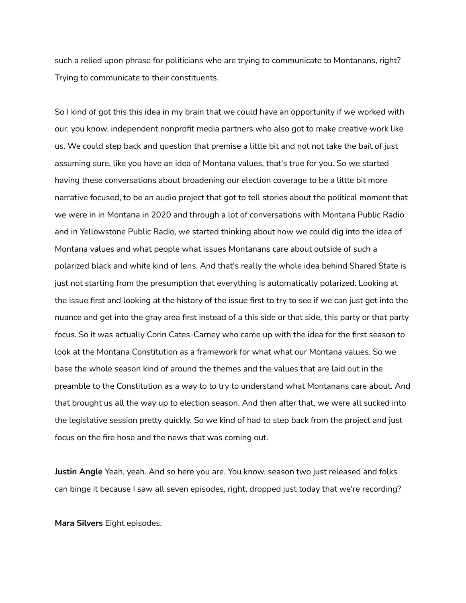such a relied upon phrase for politicians who are trying to communicate to Montanans, right? Trying to communicate to their constituents.

So I kind of got this this idea in my brain that we could have an opportunity if we worked with our, you know, independent nonprofit media partners who also got to make creative work like us. We could step back and question that premise a little bit and not not take the bait of just assuming sure, like you have an idea of Montana values, that's true for you. So we started having these conversations about broadening our election coverage to be a little bit more narrative focused, to be an audio project that got to tell stories about the political moment that we were in in Montana in 2020 and through a lot of conversations with Montana Public Radio and in Yellowstone Public Radio, we started thinking about how we could dig into the idea of Montana values and what people what issues Montanans care about outside of such a polarized black and white kind of lens. And that's really the whole idea behind Shared State is just not starting from the presumption that everything is automatically polarized. Looking at the issue first and looking at the history of the issue first to try to see if we can just get into the nuance and get into the gray area first instead of a this side or that side, this party or that party focus. So it was actually Corin Cates-Carney who came up with the idea for the first season to look at the Montana Constitution as a framework for what what our Montana values. So we base the whole season kind of around the themes and the values that are laid out in the preamble to the Constitution as a way to to try to understand what Montanans care about. And that brought us all the way up to election season. And then after that, we were all sucked into the legislative session pretty quickly. So we kind of had to step back from the project and just focus on the fire hose and the news that was coming out.

**Justin Angle** Yeah, yeah. And so here you are. You know, season two just released and folks can binge it because I saw all seven episodes, right, dropped just today that we're recording?

**Mara Silvers** Eight episodes.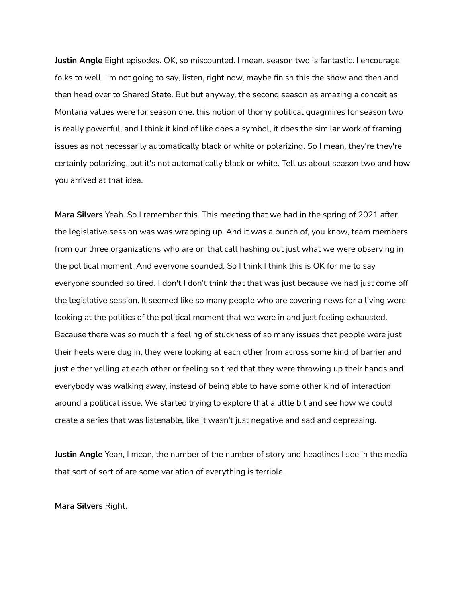**Justin Angle** Eight episodes. OK, so miscounted. I mean, season two is fantastic. I encourage folks to well, I'm not going to say, listen, right now, maybe finish this the show and then and then head over to Shared State. But but anyway, the second season as amazing a conceit as Montana values were for season one, this notion of thorny political quagmires for season two is really powerful, and I think it kind of like does a symbol, it does the similar work of framing issues as not necessarily automatically black or white or polarizing. So I mean, they're they're certainly polarizing, but it's not automatically black or white. Tell us about season two and how you arrived at that idea.

**Mara Silvers** Yeah. So I remember this. This meeting that we had in the spring of 2021 after the legislative session was was wrapping up. And it was a bunch of, you know, team members from our three organizations who are on that call hashing out just what we were observing in the political moment. And everyone sounded. So I think I think this is OK for me to say everyone sounded so tired. I don't I don't think that that was just because we had just come off the legislative session. It seemed like so many people who are covering news for a living were looking at the politics of the political moment that we were in and just feeling exhausted. Because there was so much this feeling of stuckness of so many issues that people were just their heels were dug in, they were looking at each other from across some kind of barrier and just either yelling at each other or feeling so tired that they were throwing up their hands and everybody was walking away, instead of being able to have some other kind of interaction around a political issue. We started trying to explore that a little bit and see how we could create a series that was listenable, like it wasn't just negative and sad and depressing.

**Justin Angle** Yeah, I mean, the number of the number of story and headlines I see in the media that sort of sort of are some variation of everything is terrible.

**Mara Silvers** Right.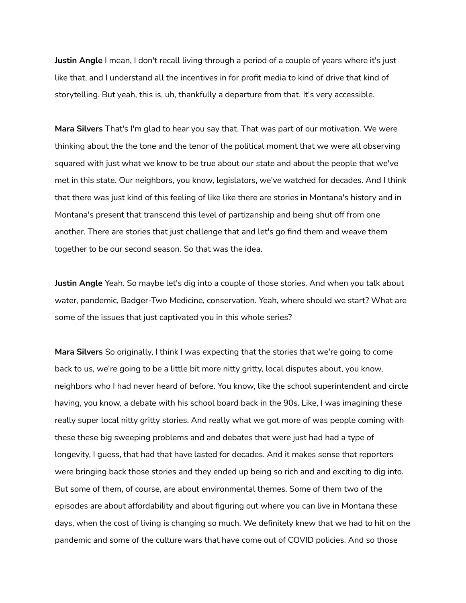**Justin Angle** I mean, I don't recall living through a period of a couple of years where it's just like that, and I understand all the incentives in for profit media to kind of drive that kind of storytelling. But yeah, this is, uh, thankfully a departure from that. It's very accessible.

**Mara Silvers** That's I'm glad to hear you say that. That was part of our motivation. We were thinking about the the tone and the tenor of the political moment that we were all observing squared with just what we know to be true about our state and about the people that we've met in this state. Our neighbors, you know, legislators, we've watched for decades. And I think that there was just kind of this feeling of like like there are stories in Montana's history and in Montana's present that transcend this level of partizanship and being shut off from one another. There are stories that just challenge that and let's go find them and weave them together to be our second season. So that was the idea.

**Justin Angle** Yeah. So maybe let's dig into a couple of those stories. And when you talk about water, pandemic, Badger-Two Medicine, conservation. Yeah, where should we start? What are some of the issues that just captivated you in this whole series?

**Mara Silvers** So originally, I think I was expecting that the stories that we're going to come back to us, we're going to be a little bit more nitty gritty, local disputes about, you know, neighbors who I had never heard of before. You know, like the school superintendent and circle having, you know, a debate with his school board back in the 90s. Like, I was imagining these really super local nitty gritty stories. And really what we got more of was people coming with these these big sweeping problems and and debates that were just had had a type of longevity, I guess, that had that have lasted for decades. And it makes sense that reporters were bringing back those stories and they ended up being so rich and and exciting to dig into. But some of them, of course, are about environmental themes. Some of them two of the episodes are about affordability and about figuring out where you can live in Montana these days, when the cost of living is changing so much. We definitely knew that we had to hit on the pandemic and some of the culture wars that have come out of COVID policies. And so those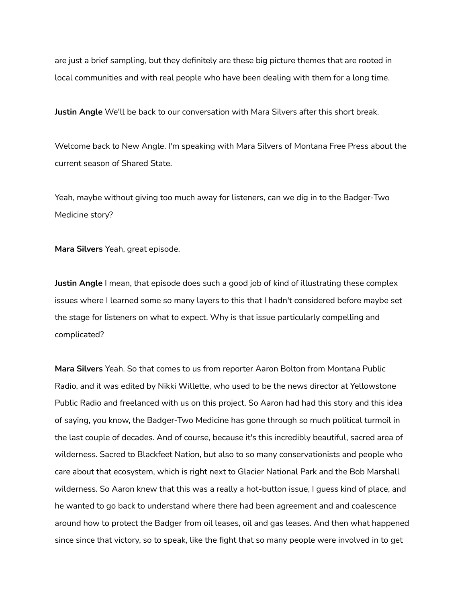are just a brief sampling, but they definitely are these big picture themes that are rooted in local communities and with real people who have been dealing with them for a long time.

**Justin Angle** We'll be back to our conversation with Mara Silvers after this short break.

Welcome back to New Angle. I'm speaking with Mara Silvers of Montana Free Press about the current season of Shared State.

Yeah, maybe without giving too much away for listeners, can we dig in to the Badger-Two Medicine story?

**Mara Silvers** Yeah, great episode.

**Justin Angle** I mean, that episode does such a good job of kind of illustrating these complex issues where I learned some so many layers to this that I hadn't considered before maybe set the stage for listeners on what to expect. Why is that issue particularly compelling and complicated?

**Mara Silvers** Yeah. So that comes to us from reporter Aaron Bolton from Montana Public Radio, and it was edited by Nikki Willette, who used to be the news director at Yellowstone Public Radio and freelanced with us on this project. So Aaron had had this story and this idea of saying, you know, the Badger-Two Medicine has gone through so much political turmoil in the last couple of decades. And of course, because it's this incredibly beautiful, sacred area of wilderness. Sacred to Blackfeet Nation, but also to so many conservationists and people who care about that ecosystem, which is right next to Glacier National Park and the Bob Marshall wilderness. So Aaron knew that this was a really a hot-button issue, I guess kind of place, and he wanted to go back to understand where there had been agreement and and coalescence around how to protect the Badger from oil leases, oil and gas leases. And then what happened since since that victory, so to speak, like the fight that so many people were involved in to get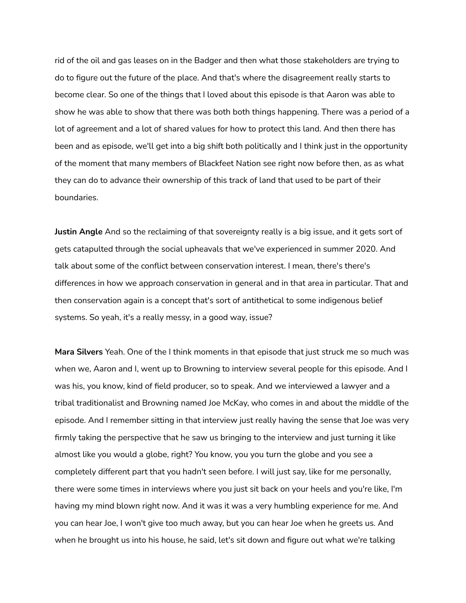rid of the oil and gas leases on in the Badger and then what those stakeholders are trying to do to figure out the future of the place. And that's where the disagreement really starts to become clear. So one of the things that I loved about this episode is that Aaron was able to show he was able to show that there was both both things happening. There was a period of a lot of agreement and a lot of shared values for how to protect this land. And then there has been and as episode, we'll get into a big shift both politically and I think just in the opportunity of the moment that many members of Blackfeet Nation see right now before then, as as what they can do to advance their ownership of this track of land that used to be part of their boundaries.

**Justin Angle** And so the reclaiming of that sovereignty really is a big issue, and it gets sort of gets catapulted through the social upheavals that we've experienced in summer 2020. And talk about some of the conflict between conservation interest. I mean, there's there's differences in how we approach conservation in general and in that area in particular. That and then conservation again is a concept that's sort of antithetical to some indigenous belief systems. So yeah, it's a really messy, in a good way, issue?

**Mara Silvers** Yeah. One of the I think moments in that episode that just struck me so much was when we, Aaron and I, went up to Browning to interview several people for this episode. And I was his, you know, kind of field producer, so to speak. And we interviewed a lawyer and a tribal traditionalist and Browning named Joe McKay, who comes in and about the middle of the episode. And I remember sitting in that interview just really having the sense that Joe was very firmly taking the perspective that he saw us bringing to the interview and just turning it like almost like you would a globe, right? You know, you you turn the globe and you see a completely different part that you hadn't seen before. I will just say, like for me personally, there were some times in interviews where you just sit back on your heels and you're like, I'm having my mind blown right now. And it was it was a very humbling experience for me. And you can hear Joe, I won't give too much away, but you can hear Joe when he greets us. And when he brought us into his house, he said, let's sit down and figure out what we're talking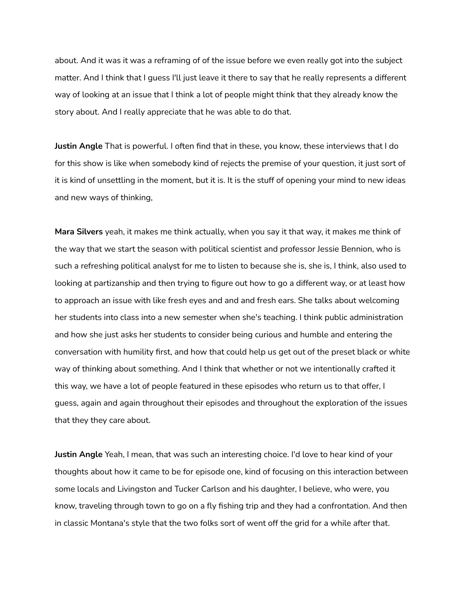about. And it was it was a reframing of of the issue before we even really got into the subject matter. And I think that I guess I'll just leave it there to say that he really represents a different way of looking at an issue that I think a lot of people might think that they already know the story about. And I really appreciate that he was able to do that.

**Justin Angle** That is powerful. I often find that in these, you know, these interviews that I do for this show is like when somebody kind of rejects the premise of your question, it just sort of it is kind of unsettling in the moment, but it is. It is the stuff of opening your mind to new ideas and new ways of thinking,

**Mara Silvers** yeah, it makes me think actually, when you say it that way, it makes me think of the way that we start the season with political scientist and professor Jessie Bennion, who is such a refreshing political analyst for me to listen to because she is, she is, I think, also used to looking at partizanship and then trying to figure out how to go a different way, or at least how to approach an issue with like fresh eyes and and and fresh ears. She talks about welcoming her students into class into a new semester when she's teaching. I think public administration and how she just asks her students to consider being curious and humble and entering the conversation with humility first, and how that could help us get out of the preset black or white way of thinking about something. And I think that whether or not we intentionally crafted it this way, we have a lot of people featured in these episodes who return us to that offer, I guess, again and again throughout their episodes and throughout the exploration of the issues that they they care about.

**Justin Angle** Yeah, I mean, that was such an interesting choice. I'd love to hear kind of your thoughts about how it came to be for episode one, kind of focusing on this interaction between some locals and Livingston and Tucker Carlson and his daughter, I believe, who were, you know, traveling through town to go on a fly fishing trip and they had a confrontation. And then in classic Montana's style that the two folks sort of went off the grid for a while after that.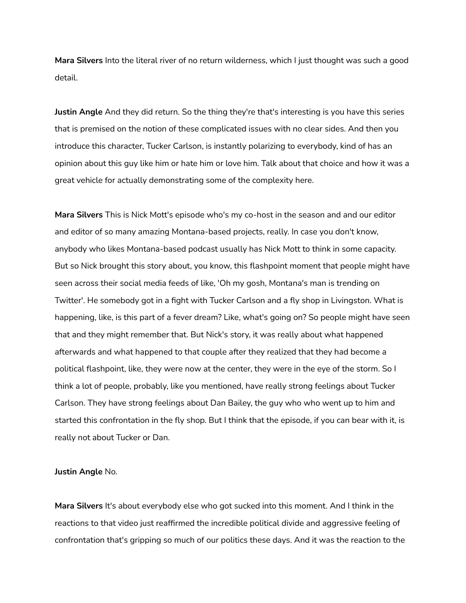**Mara Silvers** Into the literal river of no return wilderness, which I just thought was such a good detail.

**Justin Angle** And they did return. So the thing they're that's interesting is you have this series that is premised on the notion of these complicated issues with no clear sides. And then you introduce this character, Tucker Carlson, is instantly polarizing to everybody, kind of has an opinion about this guy like him or hate him or love him. Talk about that choice and how it was a great vehicle for actually demonstrating some of the complexity here.

**Mara Silvers** This is Nick Mott's episode who's my co-host in the season and and our editor and editor of so many amazing Montana-based projects, really. In case you don't know, anybody who likes Montana-based podcast usually has Nick Mott to think in some capacity. But so Nick brought this story about, you know, this flashpoint moment that people might have seen across their social media feeds of like, 'Oh my gosh, Montana's man is trending on Twitter'. He somebody got in a fight with Tucker Carlson and a fly shop in Livingston. What is happening, like, is this part of a fever dream? Like, what's going on? So people might have seen that and they might remember that. But Nick's story, it was really about what happened afterwards and what happened to that couple after they realized that they had become a political flashpoint, like, they were now at the center, they were in the eye of the storm. So I think a lot of people, probably, like you mentioned, have really strong feelings about Tucker Carlson. They have strong feelings about Dan Bailey, the guy who who went up to him and started this confrontation in the fly shop. But I think that the episode, if you can bear with it, is really not about Tucker or Dan.

## **Justin Angle** No.

**Mara Silvers** It's about everybody else who got sucked into this moment. And I think in the reactions to that video just reaffirmed the incredible political divide and aggressive feeling of confrontation that's gripping so much of our politics these days. And it was the reaction to the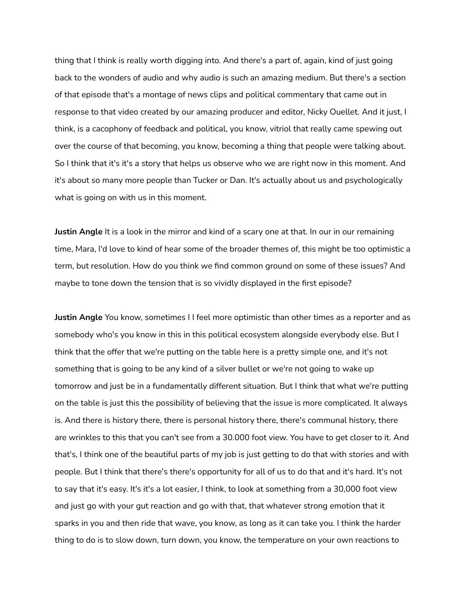thing that I think is really worth digging into. And there's a part of, again, kind of just going back to the wonders of audio and why audio is such an amazing medium. But there's a section of that episode that's a montage of news clips and political commentary that came out in response to that video created by our amazing producer and editor, Nicky Ouellet. And it just, I think, is a cacophony of feedback and political, you know, vitriol that really came spewing out over the course of that becoming, you know, becoming a thing that people were talking about. So I think that it's it's a story that helps us observe who we are right now in this moment. And it's about so many more people than Tucker or Dan. It's actually about us and psychologically what is going on with us in this moment.

**Justin Angle** It is a look in the mirror and kind of a scary one at that. In our in our remaining time, Mara, I'd love to kind of hear some of the broader themes of, this might be too optimistic a term, but resolution. How do you think we find common ground on some of these issues? And maybe to tone down the tension that is so vividly displayed in the first episode?

**Justin Angle** You know, sometimes I I feel more optimistic than other times as a reporter and as somebody who's you know in this in this political ecosystem alongside everybody else. But I think that the offer that we're putting on the table here is a pretty simple one, and it's not something that is going to be any kind of a silver bullet or we're not going to wake up tomorrow and just be in a fundamentally different situation. But I think that what we're putting on the table is just this the possibility of believing that the issue is more complicated. It always is. And there is history there, there is personal history there, there's communal history, there are wrinkles to this that you can't see from a 30.000 foot view. You have to get closer to it. And that's, I think one of the beautiful parts of my job is just getting to do that with stories and with people. But I think that there's there's opportunity for all of us to do that and it's hard. It's not to say that it's easy. It's it's a lot easier, I think, to look at something from a 30,000 foot view and just go with your gut reaction and go with that, that whatever strong emotion that it sparks in you and then ride that wave, you know, as long as it can take you. I think the harder thing to do is to slow down, turn down, you know, the temperature on your own reactions to